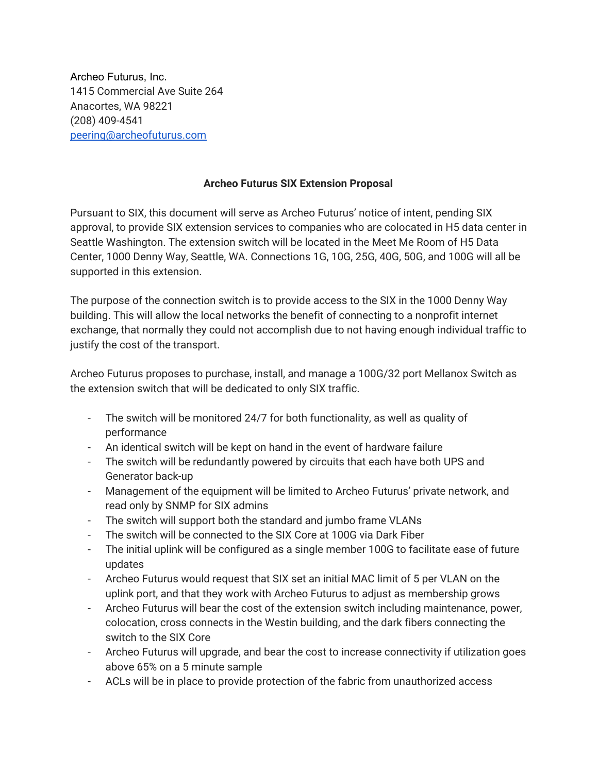Archeo Futurus, Inc. 1415 Commercial Ave Suite 264 Anacortes, WA 98221 (208) 409-4541 [peering@archeofuturus.com](mailto:peering@archeofuturus.com)

## **Archeo Futurus SIX Extension Proposal**

Pursuant to SIX, this document will serve as Archeo Futurus' notice of intent, pending SIX approval, to provide SIX extension services to companies who are colocated in H5 data center in Seattle Washington. The extension switch will be located in the Meet Me Room of H5 Data Center, 1000 Denny Way, Seattle, WA. Connections 1G, 10G, 25G, 40G, 50G, and 100G will all be supported in this extension.

The purpose of the connection switch is to provide access to the SIX in the 1000 Denny Way building. This will allow the local networks the benefit of connecting to a nonprofit internet exchange, that normally they could not accomplish due to not having enough individual traffic to justify the cost of the transport.

Archeo Futurus proposes to purchase, install, and manage a 100G/32 port Mellanox Switch as the extension switch that will be dedicated to only SIX traffic.

- The switch will be monitored 24/7 for both functionality, as well as quality of performance
- An identical switch will be kept on hand in the event of hardware failure
- The switch will be redundantly powered by circuits that each have both UPS and Generator back-up
- Management of the equipment will be limited to Archeo Futurus' private network, and read only by SNMP for SIX admins
- The switch will support both the standard and jumbo frame VLANs
- The switch will be connected to the SIX Core at 100G via Dark Fiber
- The initial uplink will be configured as a single member 100G to facilitate ease of future updates
- Archeo Futurus would request that SIX set an initial MAC limit of 5 per VLAN on the uplink port, and that they work with Archeo Futurus to adjust as membership grows
- Archeo Futurus will bear the cost of the extension switch including maintenance, power, colocation, cross connects in the Westin building, and the dark fibers connecting the switch to the SIX Core
- Archeo Futurus will upgrade, and bear the cost to increase connectivity if utilization goes above 65% on a 5 minute sample
- ACLs will be in place to provide protection of the fabric from unauthorized access